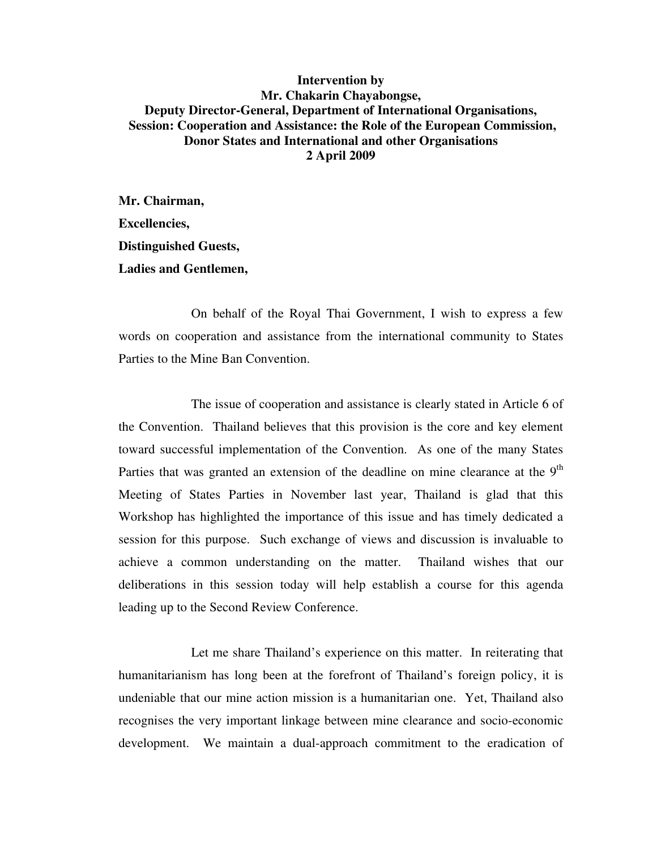## **Intervention by Mr. Chakarin Chayabongse, Deputy Director-General, Department of International Organisations, Session: Cooperation and Assistance: the Role of the European Commission, Donor States and International and other Organisations 2 April 2009**

**Mr. Chairman, Excellencies, Distinguished Guests, Ladies and Gentlemen,** 

On behalf of the Royal Thai Government, I wish to express a few words on cooperation and assistance from the international community to States Parties to the Mine Ban Convention.

The issue of cooperation and assistance is clearly stated in Article 6 of the Convention. Thailand believes that this provision is the core and key element toward successful implementation of the Convention. As one of the many States Parties that was granted an extension of the deadline on mine clearance at the  $9<sup>th</sup>$ Meeting of States Parties in November last year, Thailand is glad that this Workshop has highlighted the importance of this issue and has timely dedicated a session for this purpose. Such exchange of views and discussion is invaluable to achieve a common understanding on the matter. Thailand wishes that our deliberations in this session today will help establish a course for this agenda leading up to the Second Review Conference.

Let me share Thailand's experience on this matter. In reiterating that humanitarianism has long been at the forefront of Thailand's foreign policy, it is undeniable that our mine action mission is a humanitarian one. Yet, Thailand also recognises the very important linkage between mine clearance and socio-economic development. We maintain a dual-approach commitment to the eradication of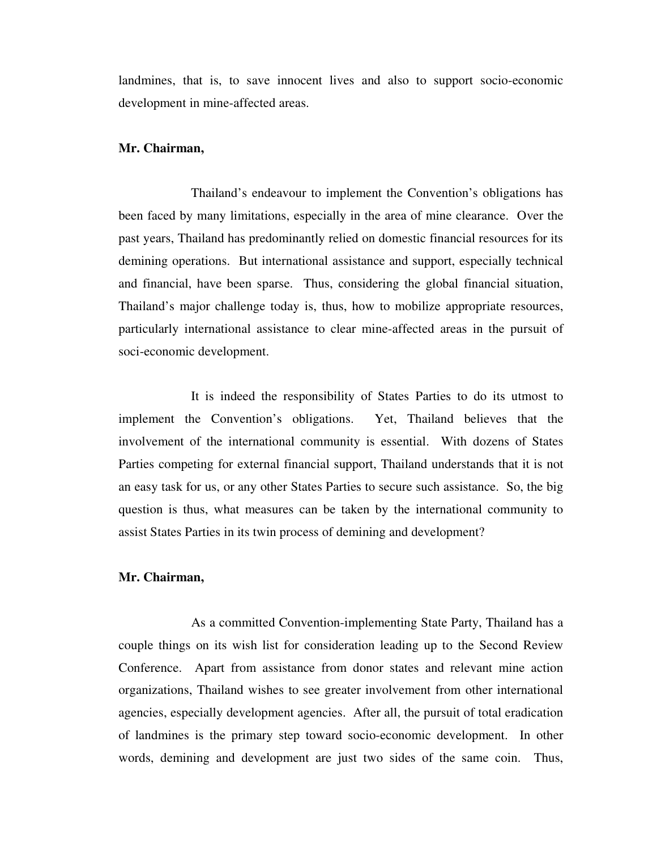landmines, that is, to save innocent lives and also to support socio-economic development in mine-affected areas.

## **Mr. Chairman,**

Thailand's endeavour to implement the Convention's obligations has been faced by many limitations, especially in the area of mine clearance. Over the past years, Thailand has predominantly relied on domestic financial resources for its demining operations. But international assistance and support, especially technical and financial, have been sparse. Thus, considering the global financial situation, Thailand's major challenge today is, thus, how to mobilize appropriate resources, particularly international assistance to clear mine-affected areas in the pursuit of soci-economic development.

It is indeed the responsibility of States Parties to do its utmost to implement the Convention's obligations. Yet, Thailand believes that the involvement of the international community is essential. With dozens of States Parties competing for external financial support, Thailand understands that it is not an easy task for us, or any other States Parties to secure such assistance. So, the big question is thus, what measures can be taken by the international community to assist States Parties in its twin process of demining and development?

## **Mr. Chairman,**

 As a committed Convention-implementing State Party, Thailand has a couple things on its wish list for consideration leading up to the Second Review Conference. Apart from assistance from donor states and relevant mine action organizations, Thailand wishes to see greater involvement from other international agencies, especially development agencies. After all, the pursuit of total eradication of landmines is the primary step toward socio-economic development. In other words, demining and development are just two sides of the same coin. Thus,